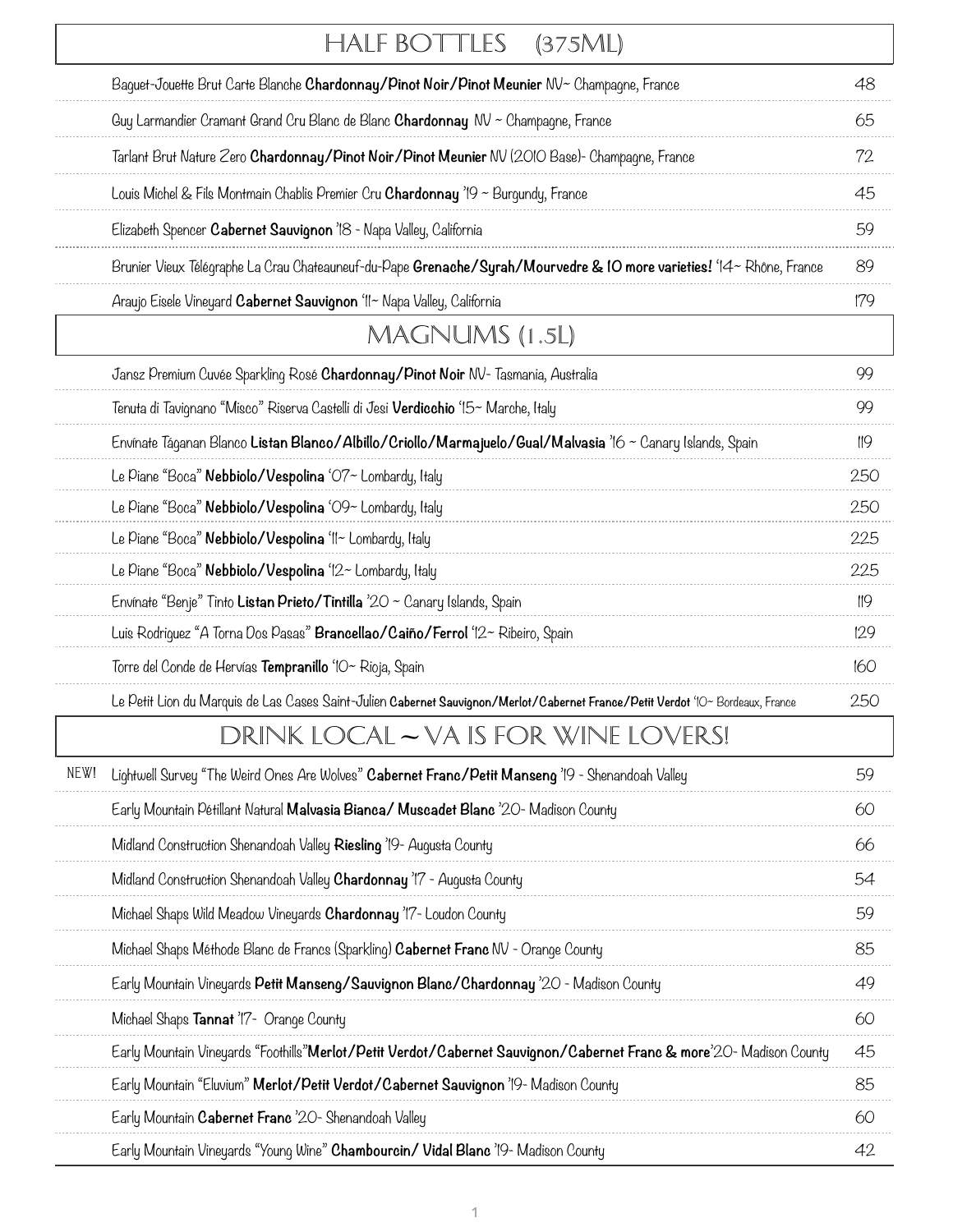|      | HALF BOTTLES<br>(375ML)                                                                                                         |     |
|------|---------------------------------------------------------------------------------------------------------------------------------|-----|
|      | Baquet-Jouette Brut Carte Blanche Chardonnay/Pinot Noir/Pinot Meunier NV~ Champagne, France                                     | 48  |
|      | Guy Larmandier Cramant Grand Cru Blanc de Blanc <b>Chardonnay</b> NV ~ Champagne, France                                        | 65  |
|      | Tarlant Brut Nature Zero Chardonnay/Pinot Noir/Pinot Meunier NV (2010 Base)- Champagne, France                                  | 72  |
|      | Louis Michel & Fils Montmain Chablis Premier Cru <b>Chardonnay</b> '19 ~ Burgundy, France                                       | 45  |
|      | Elizabeth Spencer Cabernet Sauvignon 'IS - Napa Valley, California                                                              | 59  |
|      | Brunier Vieux Télégraphe La Crau Chateauneuf-du-Pape Grenache/Syrah/Mourvedre & 10 more varieties! '14~ Rhône, France           | 89  |
|      | Araujo Eisele Vineyard Cabernet Sauvignon 'II~ Napa Valley, California                                                          | 179 |
|      | MAGNUMS (1.5L)                                                                                                                  |     |
|      | Jansz Premium Cuvée Sparkling Rosé Chardonnay/Pinot Noir NV- Tasmania, Australia                                                | 99  |
|      | Tenuta di Tavignano "Misco" Riserva Castelli di Jesi <b>Verdicchio</b> '15~ Marche, Italy                                       | 99  |
|      | Envínate Táganan Blanco Listan Blanco/Albillo/Criollo/Marmajuelo/Gual/Malvasia '16 ~ Canary Islands, Spain                      | 119 |
|      | Le Piane "Boca" Nebbiolo/Vespolina 'O7~ Lombardy, Italy                                                                         | 250 |
|      | Le Piane "Boca" Nebbiolo/Vespolina 'O9~ Lombardy, Italy                                                                         | 250 |
|      | Le Piane "Boca" Nebbiolo/Vespolina 'II~ Lombardy, Italy                                                                         | 225 |
|      | Le Piane "Boca" Nebbiolo/Vespolina '12~ Lombardy, Italy                                                                         | 225 |
|      | Envínate "Benje" Tinto Listan Prieto/Tintilla '20 $\sim$ Canary Islands, Spain                                                  | 119 |
|      | Luis Rodriguez "A Torna Dos Pasas" Brancellao/Caiño/Ferrol '12~ Ribeiro, Spain                                                  | 129 |
|      | Torre del Conde de Hervías <b>Tempranillo</b> 'IO~ Rioja, Spain                                                                 | 160 |
|      | Le Petit Lion du Marquis de Las Cases Saint-Julien Cabernet Sauvignon/Merlot/Cabernet France/Petit Verdot '10~ Bordeaux, France | 250 |
|      | DRINK LOCAL – VA IS FOR WINE LOVERS!                                                                                            |     |
| NEW! | Lightwell Survey "The Weird Ones Are Wolves" Cabernet Franc/Petit Manseng '19 - Shenandoah Valley                               | 59  |
|      | Early Mountain Pétillant Natural Malvasia Bianca/ Muscadet Blanc '20- Madison County                                            | 60  |
|      | Midland Construction Shenandoah Valley Riesling '19- Augusta County                                                             | 66  |
|      | Midland Construction Shenandoah Valley Chardonnay '17 - Augusta County                                                          | 54  |
|      | Michael Shaps Wild Meadow Vineyards Chardonnay '17- Loudon County                                                               | 59  |
|      | Michael Shaps Méthode Blanc de Francs (Sparkling) Cabernet Franc MV - Orange County                                             | 85  |
|      | Early Mountain Vineyards Petit Manseng/Sauvignon Blanc/Chardonnay '20 - Madison County                                          | 49  |
|      | Michael Shaps Tannat '17- Orange County                                                                                         | 60  |
|      | Early Mountain Vineyards "Foothills"Merlot/Petit Verdot/Cabernet Sauvignon/Cabernet Franc & more'20- Madison County             | 45  |
|      | Early Mountain "Eluvium" Merlot/Petit Verdot/Cabernet Sauvignon '19- Madison County                                             | 85  |
|      | Early Mountain Cabernet Franc '20- Shenandoah Valley                                                                            | 60  |
|      | Early Mountain Vineyards "Young Wine" Chambourcin/ Vidal Blanc '19- Madison County                                              | 42  |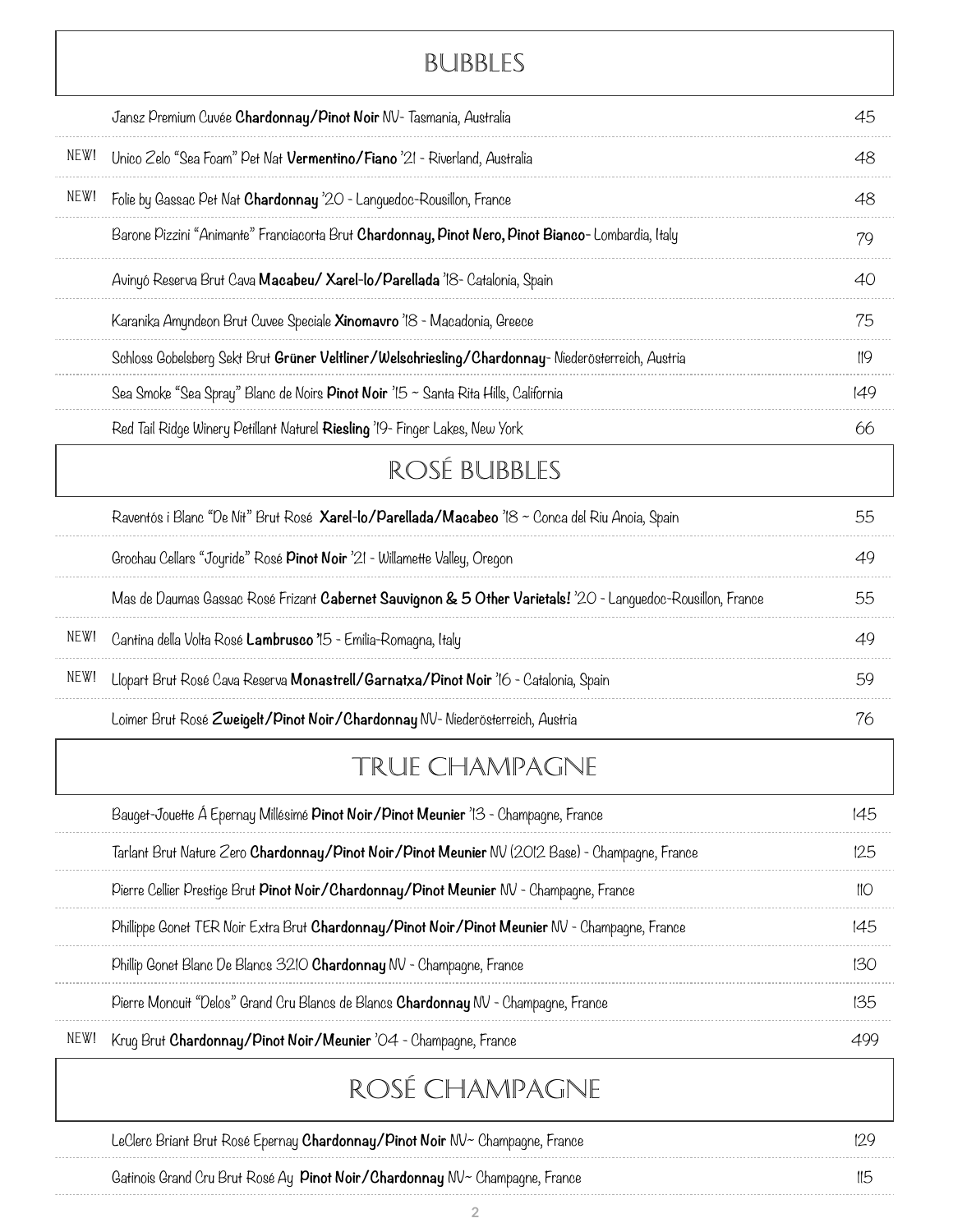# Bubbles

|      | Jansz Premium Cuvée Chardonnay/Pinot Noir NV- Tasmania, Australia                                                       | 45  |
|------|-------------------------------------------------------------------------------------------------------------------------|-----|
| NEW! | Unico Zelo "Sea Foam" Pet Nat Vermentino/Fiano '21 - Riverland, Australia                                               | 48  |
| NEW! | Folie by Gassac Pet Nat Chardonnay '20 - Languedoc-Rousillon, France                                                    | 48  |
|      | Barone Pizzini "Animante" Franciacorta Brut Chardonnay, Pinot Nero, Pinot Bianco-Lombardia, Italy                       | 79  |
|      | Avinyó Reserva Brut Cava Macabeu/ Xarel-lo/Parellada 18- Catalonia, Spain                                               | 40  |
|      | Karanika Amyndeon Brut Cuvee Speciale Xinomavro '18 - Macadonia, Greece                                                 | 75  |
|      | Schloss Gobelsberg Sekt Brut Grüner Veltliner/Welschriesling/Chardonnay-Niederösterreich, Austria                       | 119 |
|      | Sea Smoke "Sea Spray" Blanc de Noirs Pinot Noir '15 ~ Santa Rita Hills, California                                      | 149 |
|      | Red Tail Ridge Winery Petillant Naturel Riesling '19- Finger Lakes, New York                                            | 66  |
|      | ROSÉ BUBBLES                                                                                                            |     |
|      | Raventós i Blanc "De Nit" Brut Rosé Xarel-lo/Parellada/Macabeo '18 ~ Conca del Riu Anoia, Spain                         | 55  |
|      | Grochau Cellars "Joyride" Rosé Pinot Noir '21 - Willamette Valley, Oregon                                               | 49  |
|      | Mas de Daumas Gassac Rosé Frizant C <b>abernet Sauvignon &amp; 5 Other Varietals!</b> '20 - Languedoc-Rousillon, France | 55  |
| NEW! | Cantina della Volta Rosé Lambrusco '15 - Emilia-Romagna, Italy                                                          | 49  |
| NEW! | Llopart Brut Rosé Cava Reserva Monastrell/Garnatxa/Pinot Noir '16 - Catalonia, Spain                                    | 59  |
|      | Loimer Brut Rosé Zweigelt/Pinot Noir/Chardonnay NV- Niederösterreich, Austria                                           | 76  |
|      | TRUE CHAMPAGNE                                                                                                          |     |
|      | Bauget-Jouette Á Epernay Millésimé Pinot Noir/Pinot Meunier '13 - Champagne, France                                     | 145 |
|      | Tarlant Brut Nature Zero <b>Chardonnay/Pinot Noir/Pinot Meunier</b> NV (2012 Base) - Champagne, France                  | 125 |
|      | Pierre Cellier Prestige Brut Pinot Noir/Chardonnay/Pinot Meunier NV - Champagne, France                                 | 110 |
|      | Phillippe Gonet TER Noir Extra Brut Chardonnay/Pinot Noir/Pinot Meunier NV - Champagne, France                          | 145 |
|      | Phillip Gonet Blanc De Blancs 3210 Chardonnay NV - Champagne, France                                                    | 130 |
|      | Pierre Moncuit "Delos" Grand Cru Blancs de Blancs <b>Chardonnay</b> NV - Champagne, France                              | 135 |
| NEW! | Krug Brut Chardonnay/Pinot Noir/Meunier '04 - Champagne, France                                                         | 499 |
|      | ROSÉ CHAMPAGNE                                                                                                          |     |
|      | LeClerc Briant Brut Rosé Epernay <b>Chardonnay/Pinot Noir</b> NV~ Champagne, France                                     | 129 |
|      |                                                                                                                         |     |

Gatinois Grand Cru Brut Rosé Ay **Pinot Noir/Chardonnay** NV~ Champagne, France 115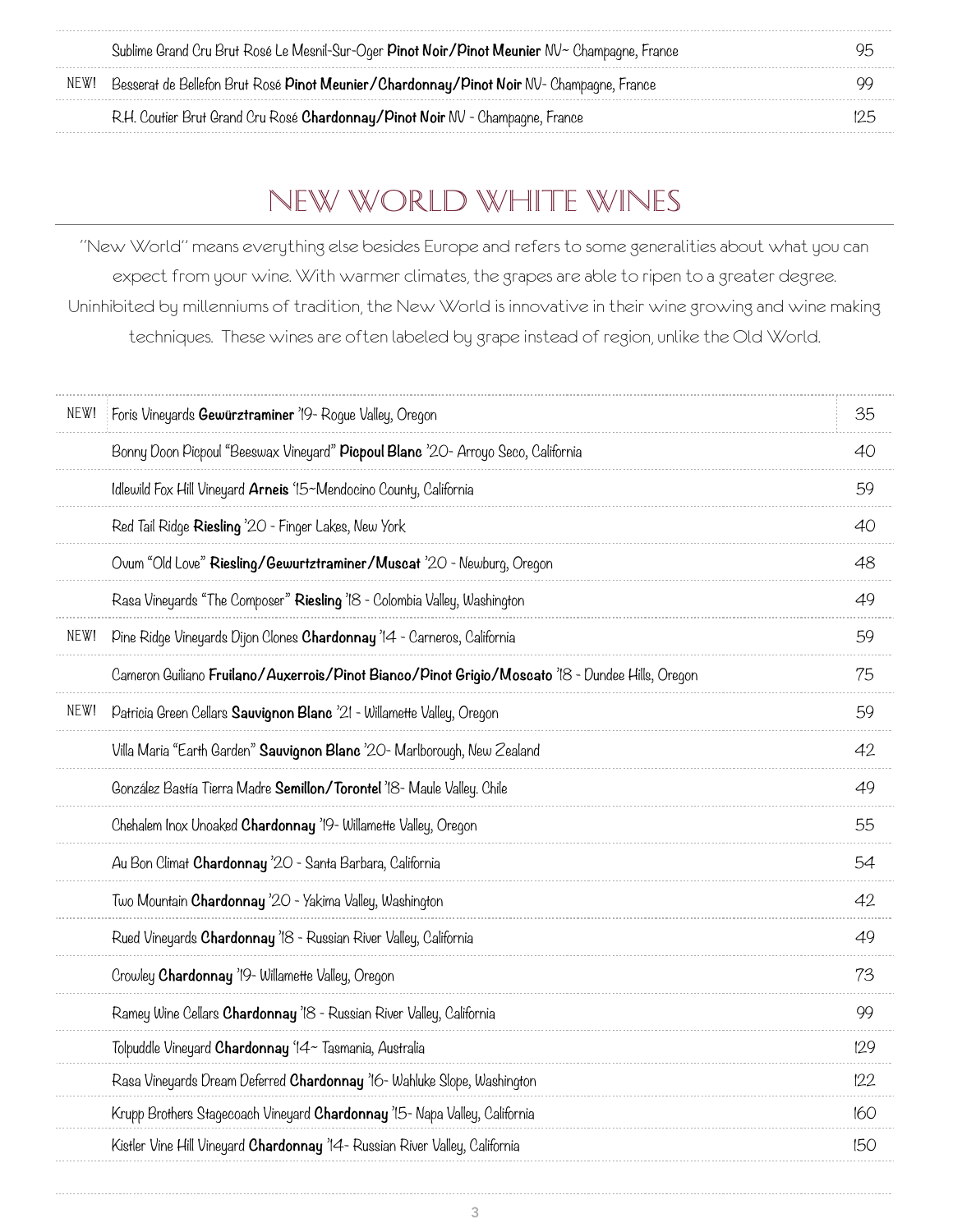|      | Sublime Grand Cru Brut Rosé Le Mesnil-Sur-Oger Pinot Noir/Pinot Meunier NV~ Champagne, France   | 95  |
|------|-------------------------------------------------------------------------------------------------|-----|
| NEW! | Besserat de Bellefon Brut Rosé <b>Pinot Meunier/Chardonnay/Pinot Noir</b> NV- Champagne, France |     |
|      | R.H. Coutier Brut Grand Cru Rosé Chardonnay/Pinot Noir NV - Champagne, France                   | 125 |

# New World White Wines

"New World" means everything else besides Europe and refers to some generalities about what you can expect from your wine. With warmer climates, the grapes are able to ripen to a greater degree. Uninhibited by millenniums of tradition, the New World is innovative in their wine growing and wine making techniques. These wines are often labeled by grape instead of region, unlike the Old World.

| NEW! | Foris Vineyards Gewürztraminer '19 - Roque Valley, Oregon                                        | 35  |
|------|--------------------------------------------------------------------------------------------------|-----|
|      | Bonny Doon Picpoul "Beeswax Vineyard" Picpoul Blanc '20- Arroyo Seco, California                 | 40  |
|      | Idlewild Fox Hill Vineyard Arneis '15~Mendocino County, California                               | 59  |
|      | Red Tail Ridge Riesling '20 - Finger Lakes, New York                                             | 40  |
|      | Ovum "Old Love" Riesling/Gewurtztraminer/Muscat '20 - Newburg, Oregon                            | 48  |
|      | Rasa Vineyards "The Composer" Riesling 'IS - Colombia Valley, Washington                         | 49  |
| NEW! | Pine Ridge Vineyards Dijon Clones Chardonnay '14 - Carneros, California                          | 59  |
|      | Cameron Guiliano Fruilano/Auxerrois/Pinot Bianco/Pinot Grigio/Moscato 'IS - Dundee Hills, Oregon | 75  |
| NEW! | Patricia Green Cellars Sauvignon Blanc '21 - Willamette Valley, Oregon                           | 59  |
|      | Villa Maria "Earth Garden" <b>Sauvignon Blanc</b> '20- Marlborough, New Zealand                  | 42  |
|      | González Bastía Tierra Madre Semillon/Torontel '18- Maule Valley. Chile                          | 49  |
|      | Chehalem Inox Unoaked <b>Chardonnay</b> '19- Willamette Valley, Oregon                           | 55  |
|      | Au Bon Climat <b>Chardonnay</b> '20 - Santa Barbara, California                                  | 54  |
|      | Two Mountain <b>Chardonnay</b> '20 - Yakima Valley, Washington                                   | 42  |
|      | Rued Vineyards Chardonnay '18 - Russian River Valley, California                                 | 49  |
|      | Crowley Chardonnay '19- Willamette Valley, Oregon                                                | 73  |
|      | Ramey Wine Cellars Chardonnay '18 - Russian River Valley, California                             | 99  |
|      | Tolpuddle Vineyard <b>Chardonnay</b> '14~ Tasmania, Australia                                    | 129 |
|      | Rasa Vineyards Dream Deferred <b>Chardonnay</b> '16- Wahluke Slope, Washington                   | 122 |
|      | Krupp Brothers Stagecoach Vineyard Chardonnay '15- Napa Valley, California                       | 160 |
|      | Kistler Vine Hill Vineyard Chardonnay '14 - Russian River Valley, California                     | 150 |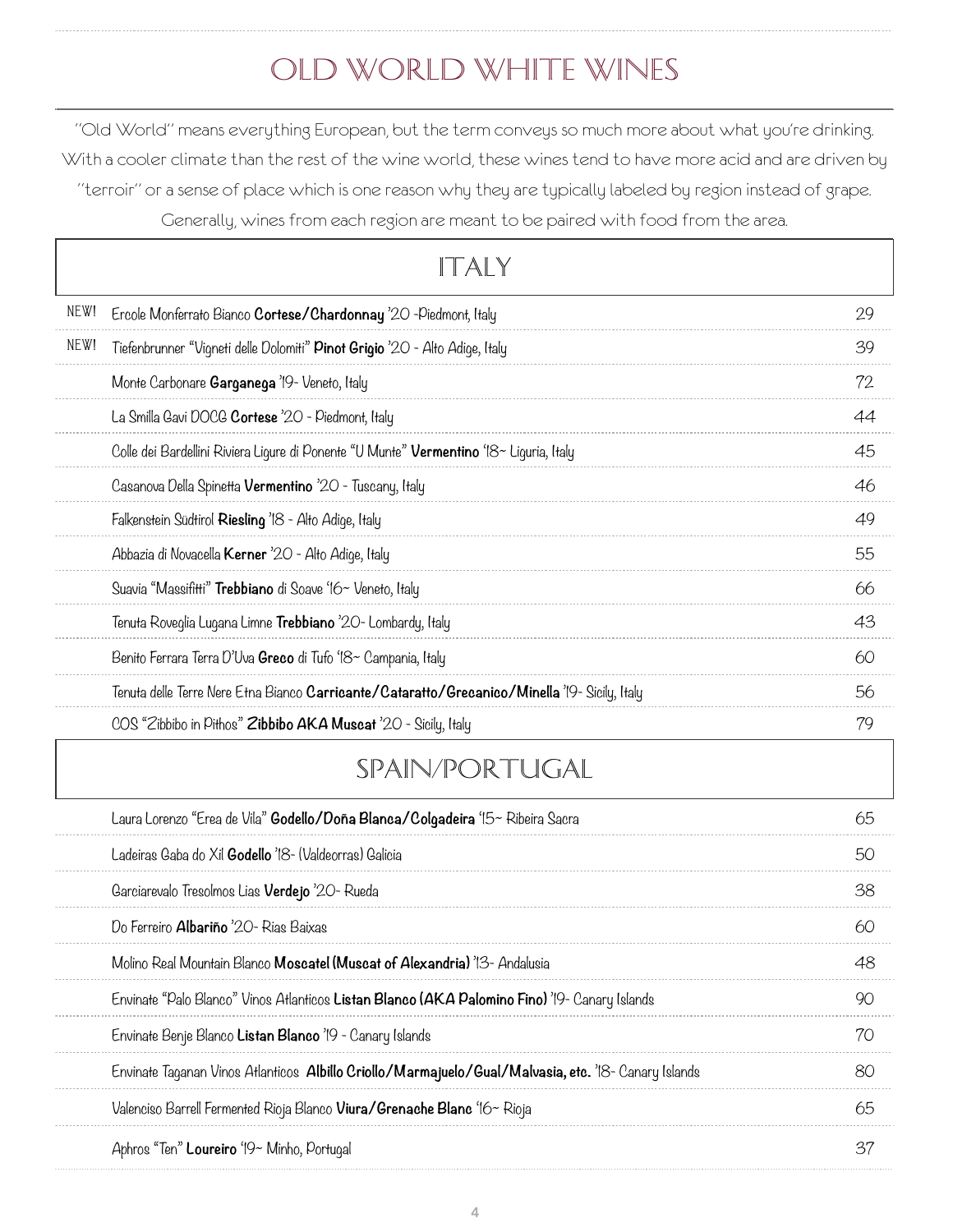# Old World White Wines

"Old World" means everything European, but the term conveys so much more about what you're drinking. With a cooler climate than the rest of the wine world, these wines tend to have more acid and are driven by "terroir" or a sense of place which is one reason why they are typically labeled by region instead of grape. Generally, wines from each region are meant to be paired with food from the area.

|      | TALY                                                                                                 |    |
|------|------------------------------------------------------------------------------------------------------|----|
| NEW! | Ercole Monferrato Bianco Cortese/Chardonnay '20 -Piedmont, Italy                                     | 29 |
| NEW! | Tiefenbrunner "Vigneti delle Dolomiti" Pinot Grigio '20 - Alto Adige, Italy                          | 39 |
|      | Monte Carbonare <b>Garganega</b> '19- Veneto, Italy                                                  | 72 |
|      | La Smilla Gavi DOCG Cortese '20 - Piedmont, Italy                                                    | 44 |
|      | Colle dei Bardellini Riviera Ligure di Ponente "U Munte" Vermentino '18~ Liguria, Italy              | 45 |
|      | Casanova Della Spinetta Vermentino '20 - Tuscany, Italy                                              | 46 |
|      | Falkenstein Südtirol Riesling '18 - Alto Adige, Italy                                                | 49 |
|      | Abbazia di Novacella Kerner '20 - Alto Adige, Italy                                                  | 55 |
|      | Suavia "Massifitti" Trebbiano di Soave '16~ Veneto, Italy                                            | 66 |
|      | Tenuta Roveglia Lugana Limne <b>Trebbiano</b> '20- Lombardy, Italy                                   | 43 |
|      | Benito Ferrara Terra D'Uva Greco di Tufo '18~ Campania, Italy                                        | 60 |
|      | Tenuta delle Terre Nere Etna Bianco Carricante/Cataratto/Grecanico/Minella '19- Sicily, Italy        | 56 |
|      | COS "Zibbibo in Pithos" Zibbibo AKA Muscat '20 - Sicily, Italy                                       | 79 |
|      | SPAIN/PORTUGAL                                                                                       |    |
|      | Laura Lorenzo "Erea de Vila" Godello/Doña Blanca/Colgadeira '15~ Ribeira Sacra                       | 65 |
|      | Ladeiras Gaba do Xil Godello '18- (Valdeorras) Galicia                                               | 50 |
|      | Garciarevalo Tresolmos Lias Verdejo '20- Rueda                                                       | 38 |
|      | Do Ferreiro Albariño '20 - Rias Baixas                                                               | 60 |
|      | Molino Real Mountain Blanco Moscatel (Muscat of Alexandria) '13- Andalusia                           | 48 |
|      | Envinate "Palo Blanco" Vinos Atlanticos Listan Blanco (AKA Palomino Fino) '19- Canary Islands        | 90 |
|      | Envinate Benje Blanco Listan Blanco '19 - Canary Islands                                             | 70 |
|      | Envinate Taganan Vinos Atlanticos Albillo Criollo/Marmajuelo/Gual/Malvasia, etc. '18- Canary Islands | 80 |
|      | Valenciso Barrell Fermented Rioja Blanco <b>Viura/Grenache Blanc</b> '16~ Rioja                      | 65 |
|      | Aphros "Ten" Loureiro '19~ Minho, Portugal                                                           | 37 |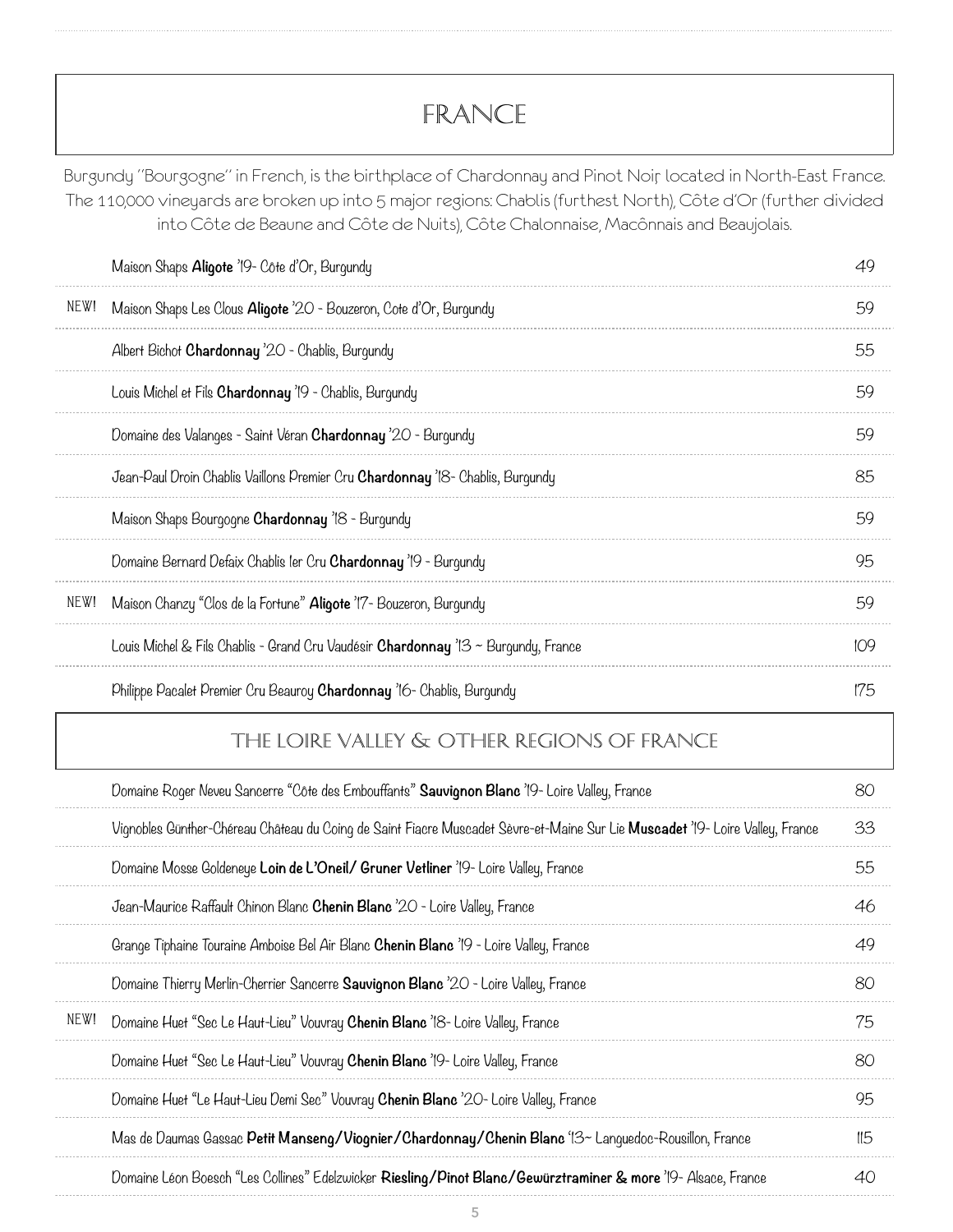# FRANCE

Burgundy "Bourgogne" in French, is the birthplace of Chardonnay and Pinot Noir, located in North-East France. The 110,000 vineyards are broken up into 5 major regions: Chablis (furthest North), Côte d'Or (further divided into Côte de Beaune and Côte de Nuits), Côte Chalonnaise, Macônnais and Beaujolais.

|      | Maison Shaps Aligote '19 - Côte d'Or, Burgundy                                            | 49  |
|------|-------------------------------------------------------------------------------------------|-----|
| NEW! | Maison Shaps Les Clous Aligote '20 - Bouzeron, Cote d'Or, Burgundy                        | 59  |
|      | Albert Bichot Chardonnay '20 - Chablis, Burgundy                                          | 55  |
|      | Louis Michel et Fils Chardonnay '19 - Chablis, Burgundy                                   | 59  |
|      | Domaine des Valanges - Saint Véran <b>Chardonnay</b> '20 - Burgundy                       | 59  |
|      | Jean-Paul Droin Chablis Vaillons Premier Cru <b>Chardonnay</b> 18- Chablis, Burgundy      | 85  |
|      | Maison Shaps Bourgogne Chardonnay 18 - Burgundy                                           | 59  |
|      | Domaine Bernard Defaix Chablis ler Cru Chardonnay '19 - Burgundy                          | 95  |
| NEW! | Maison Chanzy "Clos de la Fortune" Aligote '17- Bouzeron, Burgundy                        | 59  |
|      | Louis Michel & Fils Chablis - Grand Cru Vaudésir <b>Chardonnay</b> '13 ~ Burgundy, France | 109 |
|      | Philippe Pacalet Premier Cru Beauroy <b>Chardonnay</b> 16- Chablis, Burgundy              | 175 |

#### The loire valley & OTHER REGIONS OF FRANCE

|      | Domaine Roger Neveu Sancerre "Côte des Embouffants" Sauvignon Blanc '19- Loire Valley, France                                 | 80  |
|------|-------------------------------------------------------------------------------------------------------------------------------|-----|
|      | Vignobles Günther-Chéreau Château du Coing de Saint Fiacre Muscadet Sèvre-et-Maine Sur Lie Muscadet '19- Loire Valley, France | 33  |
|      | Domaine Mosse Goldeneye Loin de L'Oneil/ Gruner Vetliner '19- Loire Valley, France                                            | 55  |
|      | Jean-Maurice Raffault Chinon Blanc <b>Chenin Blanc</b> '20 - Loire Valley, France                                             | 46  |
|      | Grange Tiphaine Touraine Amboise Bel Air Blanc Chenin Blanc '19 - Loire Valley, France                                        | 49  |
|      | Domaine Thierry Merlin-Cherrier Sancerre <b>Sauvignon Blanc</b> '20 - Loire Valley, France                                    | 80  |
| NEW! | Domaine Huet "Sec Le Haut-Lieu" Vouvray Chenin Blanc '18- Loire Valley, France                                                | 75  |
|      | Domaine Huet "Sec Le Haut-Lieu" Vouvray Chenin Blanc '19- Loire Valley, France                                                | 80  |
|      | Domaine Huet "Le Haut-Lieu Demi Sec" Vouvray Chenin Blanc '20- Loire Valley, France                                           | 95  |
|      | Mas de Daumas Gassac Petit Manseng/Viognier/Chardonnay/Chenin Blanc '13~ Lanquedoc-Rousillon, France                          | 115 |
|      | Domaine Léon Boesch "Les Collines" Edelzwicker Riesling/Pinot Blanc/Gewürztraminer & more '19- Alsace, France                 | 40  |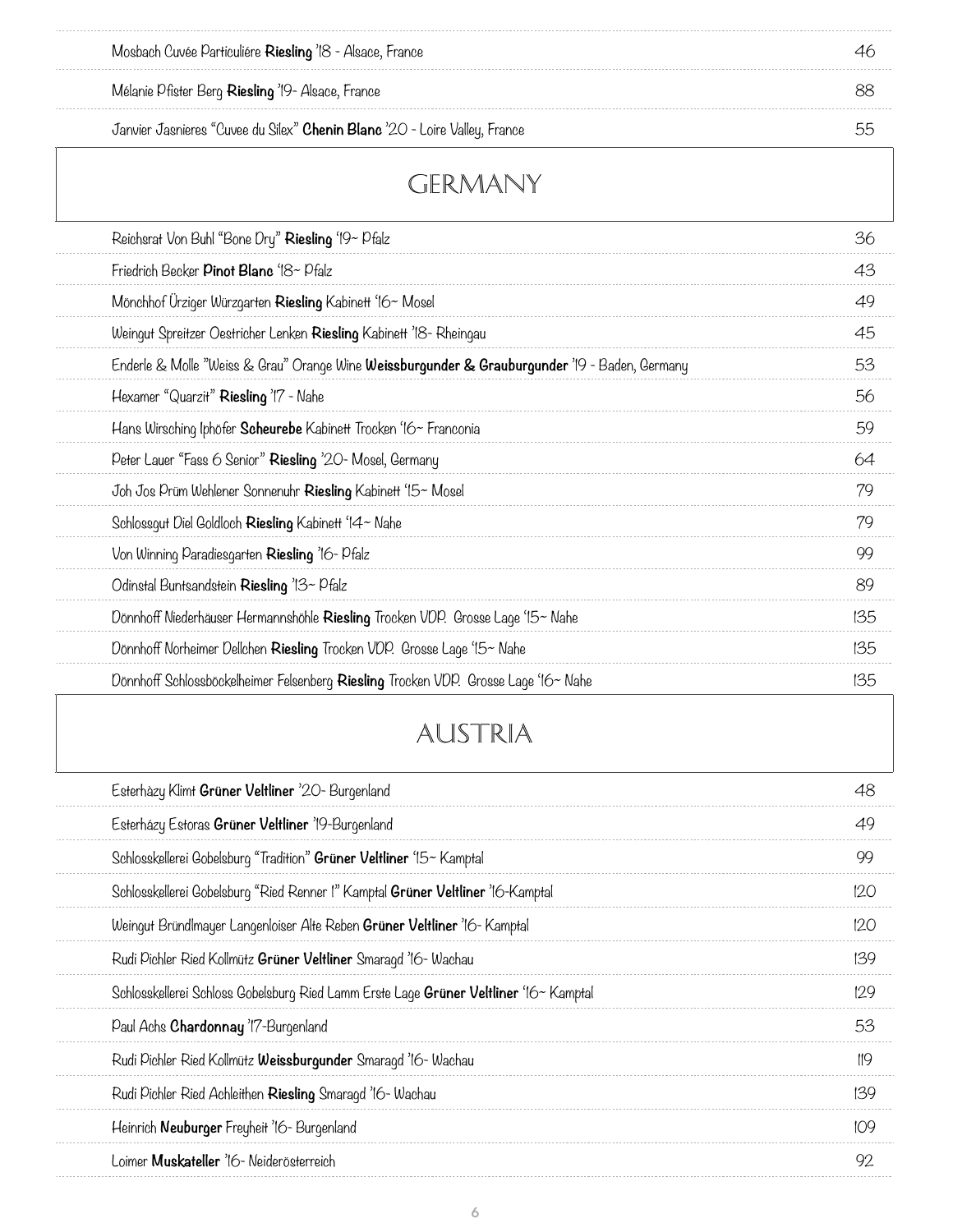| Janvier Jasnieres "Cuvee du Silex" Chenin Blanc '20 - Loire Valley, France                     | 55  |
|------------------------------------------------------------------------------------------------|-----|
| GERMANY                                                                                        |     |
| Reichsrat Von Buhl "Bone Dry" Riesling '19~ Pfalz                                              | 36  |
| Friedrich Becker Pinot Blanc '18~ Pfalz                                                        | 43  |
| Mönchhof Urziger Würzgarten Riesling Kabinett '16~ Mosel                                       | 49  |
| Weingut Spreitzer Oestricher Lenken Riesling Kabinett '18- Rheingau                            | 45  |
| Enderle & Molle "Weiss & Grau" Orange Wine Weissburgunder & Grauburgunder '19 - Baden, Germany | 53  |
| Hexamer "Quarzit" Riesling '17 - Nahe                                                          | 56  |
| Hans Wirsching Iphöfer Scheurebe Kabinett Trocken '16~ Franconia                               | 59  |
| Peter Lauer "Fass 6 Senior" Riesling '20- Mosel, Germany                                       | 64  |
| Joh Jos Prüm Wehlener Sonnenuhr Riesling Kabinett '15~ Mosel                                   | 79  |
| Schlossgut Diel Goldloch Riesling Kabinett '14~ Nahe                                           | 79  |
| Von Winning Paradiesgarten Riesling '16- Pfalz                                                 | 99  |
| Odinstal Buntsandstein Riesling '13~ Pfalz                                                     | 89  |
| Dönnhoff Niederhäuser Hermannshöhle Riesling Trocken VDP. Grosse Lage '15~ Nahe                | 135 |
| Dönnhoff Norheimer Dellchen Riesling Trocken VDP. Grosse Lage '15~ Nahe                        | 135 |
| Dönnhoff Schlossböckelheimer Felsenberg Riesling Trocken VDP. Grosse Lage '16~ Nahe            | 135 |
| AUSTRIA                                                                                        |     |
| Esterhäzy Klimt Grüner Veltliner '20- Burgenland                                               | 48  |
| Esterházy Estoras Grüner Veltliner '19-Burgenland                                              | 49  |
| Schlosskellerei Gobelsburg "Tradition" Grüner Veltliner '15~ Kamptal                           | 99  |
| Schlosskellerei Gobelsburg "Ried Renner !" Kamptal Grüner Veltliner '16-Kamptal                | 120 |
| Weingut Bründlmayer Langenloiser Alte Reben Grüner Veltliner '16 - Kamptal                     | 120 |
| Rudi Pichler Ried Kollmütz Grüner Veltliner Smaragd '16-Wachau                                 | 139 |
| Schlosskellerei Schloss Gobelsburg Ried Lamm Erste Lage Grüner Veltliner '16~ Kamptal          | 129 |
| Paul Achs Chardonnay 'I'7-Burgenland                                                           | 53  |
| Rudi Pichler Ried Kollmütz Weissburgunder Smaragd '16- Wachau                                  | 119 |
| Rudi Pichler Ried Achleithen Riesling Smaragd '16- Wachau                                      | 139 |

Mosbach Cuvée Particuliére **Riesling** '18 - Alsace, France 46

Mélanie Pfister Berg **Riesling** '19- Alsace, France 88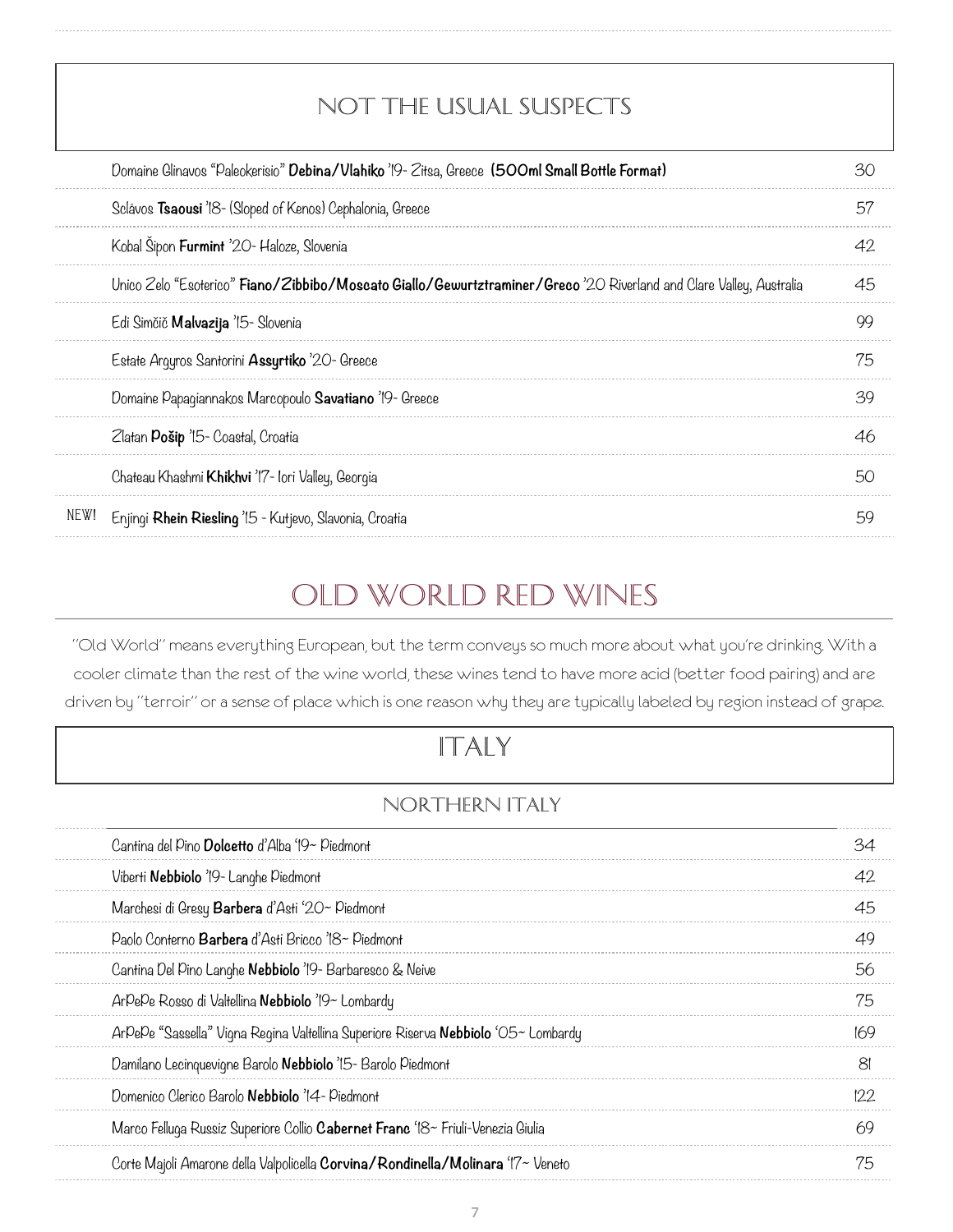| NOT THE USUAL SUSPECTS                                                                                              |    |
|---------------------------------------------------------------------------------------------------------------------|----|
| Domaine Glinavos "Paleokerisio" Debina/Vlahiko '19 - Zitsa, Greece (500ml Small Bottle Format)                      | 30 |
| Sclåvos Tsaousi '18 - (Sloped of Kenos) Cephalonia, Greece                                                          | 57 |
| Kobal Šipon Furmint '20- Haloze, Slovenia                                                                           | 42 |
| Unico Zelo "Esoterico" Fiano/Zibbibo/Moscato Giallo/Gewurtztraminer/Greco '20 Riverland and Clare Valley, Australia | 45 |
| Edi Simčič Malvazija '15- Slovenia                                                                                  | 99 |
| Estate Argyros Santorini Assyrtiko '20- Greece                                                                      | 75 |
| Domaine Papagiannakos Marcopoulo Savatiano '19- Greece                                                              | 39 |
| Zlatan Pošip '15- Coastal, Croatia                                                                                  | 46 |
| Chateau Khashmi Khikhvi 'I'7- lori Valley, Georgia                                                                  | 50 |
| NEW!<br>Enjingi Rhein Riesling '15 - Kutjevo, Slavonia, Croatia                                                     | 59 |

# Old World Red WINES

"Old World" means everything European, but the term conveys so much more about what you're drinking. With a cooler climate than the rest of the wine world, these wines tend to have more acid (better food pairing) and are driven by "terroir" or a sense of place which is one reason why they are typically labeled by region instead of grape.

# ItalY

### NORTHERN ITALY

| Cantina del Pino Dolcetto d'Alba '19~ Piedmont                                     |                |
|------------------------------------------------------------------------------------|----------------|
| Viberti Nebbiolo '19 - Langhe Piedmont                                             | 42             |
| Marchesi di Gresy Barbera d'Asti '20~ Piedmont                                     | 45             |
| Paolo Conterno Barbera d'Asti Bricco '18~ Piedmont                                 | 49             |
| Cantina Del Pino Langhe Nebbiolo '19- Barbaresco & Neive                           | 56             |
| ArPePe Rosso di Valtellina Nebbiolo '19~ Lombardy                                  | 75             |
| ArPePe "Sassella" Vigna Regina Valtellina Superiore Riserva Nebbiolo 'O5~ Lombardy | 169            |
| Damilano Lecinquevigne Barolo Nebbiolo '15- Barolo Piedmont                        | 8 <sup>1</sup> |
| Domenico Clerico Barolo Nebbiolo '14 - Piedmont                                    | 122            |
| Marco Felluga Russiz Superiore Collio Cabernet Franc '18~ Friuli-Venezia Giulia    | 69             |
| Corte Majoli Amarone della Valpolicella Corvina/Rondinella/Molinara '17~ Veneto    | 75             |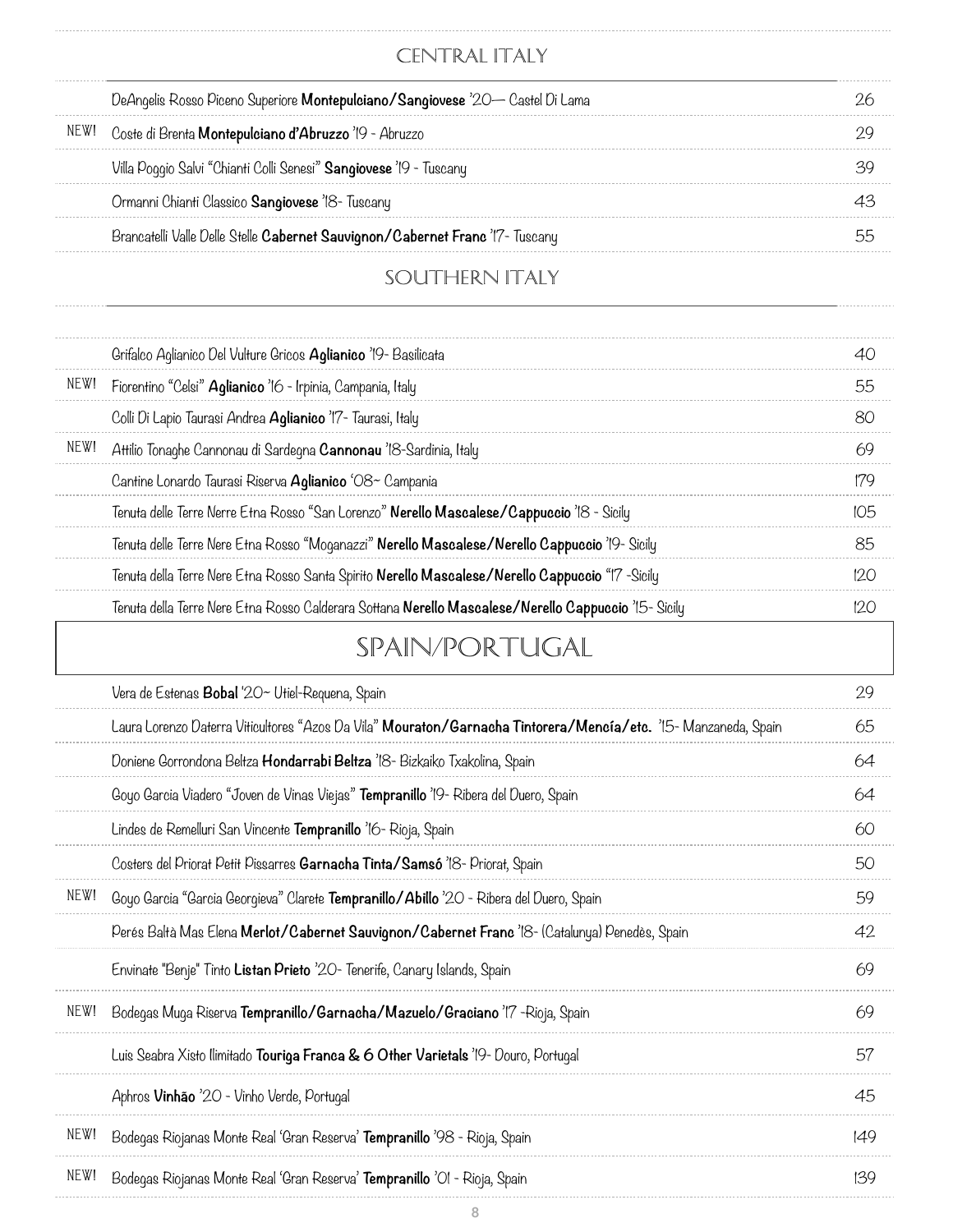### CENTRAL ITALY

................................

| DeAngelis Rosso Piceno Superiore <b>Montepulciano/Sangiovese</b> '20— Castel Di Lama |  |
|--------------------------------------------------------------------------------------|--|
| Coste di Brenta <b>Montepulciano d'Abruzzo</b> '19 - Abruzzo                         |  |
| Villa Poggio Salvi "Chianti Colli Senesi" Sangiovese '19 - Tuscany                   |  |
| Ormanni Chianti Classico Sangiovese '18- Tuscany                                     |  |
| Brancatelli Valle Delle Stelle Cabernet Sauvignon/Cabernet Franc '17- Tuscany        |  |
|                                                                                      |  |

### SOUTHERN ITALY

|      | Grifalco Aglianico Del Vulture Gricos <b>Aglianico</b> '19- Basilicata                                          | 40  |
|------|-----------------------------------------------------------------------------------------------------------------|-----|
| NEW! | Fiorentino "Celsi" Aglianico '16 - Irpinia, Campania, Italy                                                     | 55  |
|      | Colli Di Lapio Taurasi Andrea Aglianico '17- Taurasi, Italy                                                     | 80  |
| NEW! | Attilio Tonaghe Cannonau di Sardegna Cannonau '18-Sardinia, Italy                                               | 69  |
|      | Cantine Lonardo Taurasi Riserva Aglianico 'O8~ Campania                                                         | 179 |
|      | Tenuta delle Terre Nerre Etna Rosso "San Lorenzo" Nerello Mascalese/Cappuccio '18 - Sicily                      | 105 |
|      | Tenuta delle Terre Nere Etna Rosso "Moganazzi" Nerello Mascalese/Nerello Cappuccio '19- Sicily                  | 85  |
|      | Tenuta della Terre Nere Etna Rosso Santa Spirito Nerello Mascalese/Nerello Cappuccio "I7 -Sicily                | 120 |
|      | Tenuta della Terre Nere Etna Rosso Calderara Sottana Nerello Mascalese/Nerello Cappuccio '15- Sicily            | 120 |
|      | <b>SPAIN/PORTUGAL</b>                                                                                           |     |
|      | Vera de Estenas <b>Bobal</b> '20~ Utiel-Requena, Spain                                                          | 29  |
|      | Laura Lorenzo Daterra Viticultores "Azos Da Vila" Mouraton/Garnacha Tintorera/Mencía/etc. '15- Manzaneda, Spain | 65  |
|      | Doniene Gorrondona Beltza Hondarrabi Beltza '18- Bizkaiko Txakolina, Spain                                      | 64  |
|      | Goyo Garcia Viadero "Joven de Vinas Viejas" Tempranillo '19- Ribera del Duero, Spain                            | 64  |
|      | Lindes de Remelluri San Vincente Tempranillo '16- Rioja, Spain                                                  | 60  |
|      | Costers del Priorat Petit Pissarres Garnacha Tinta/Samsó '18- Priorat, Spain                                    | 50  |
| NEW! | Goyo Garcia "Garcia Georgieva" Clarete Tempranillo/Abillo '20 - Ribera del Duero, Spain                         | 59  |
|      | Perés Baltà Mas Elena Merlot/Cabernet Sauvignon/Cabernet Franc '18- (Catalunya) Penedès, Spain                  | 42  |
|      | Envinate "Benje" Tinto Listan Prieto '20- Tenerife, Canary Islands, Spain                                       | 69  |
| NEW! | Bodegas Muga Riserva Tempranillo/Garnacha/Mazuelo/Graciano '17 - Rioja, Spain                                   | 69  |
|      | Luis Seabra Xisto Ilimitado Touriga Franca & 6 Other Varietals '19- Douro, Portugal                             | 57  |
|      | Aphros Vinhão '20 - Vinho Verde, Portugal                                                                       | 45  |
| NEW! | Bodegas Riojanas Monte Real 'Gran Reserva' Tempranillo '98 - Rioja, Spain                                       | 149 |
| NEW! | Bodegas Riojanas Monte Real 'Gran Reserva' Tempranillo 'Ol - Rioja, Spain                                       | 139 |

. . . . . . . . . . . . . . . .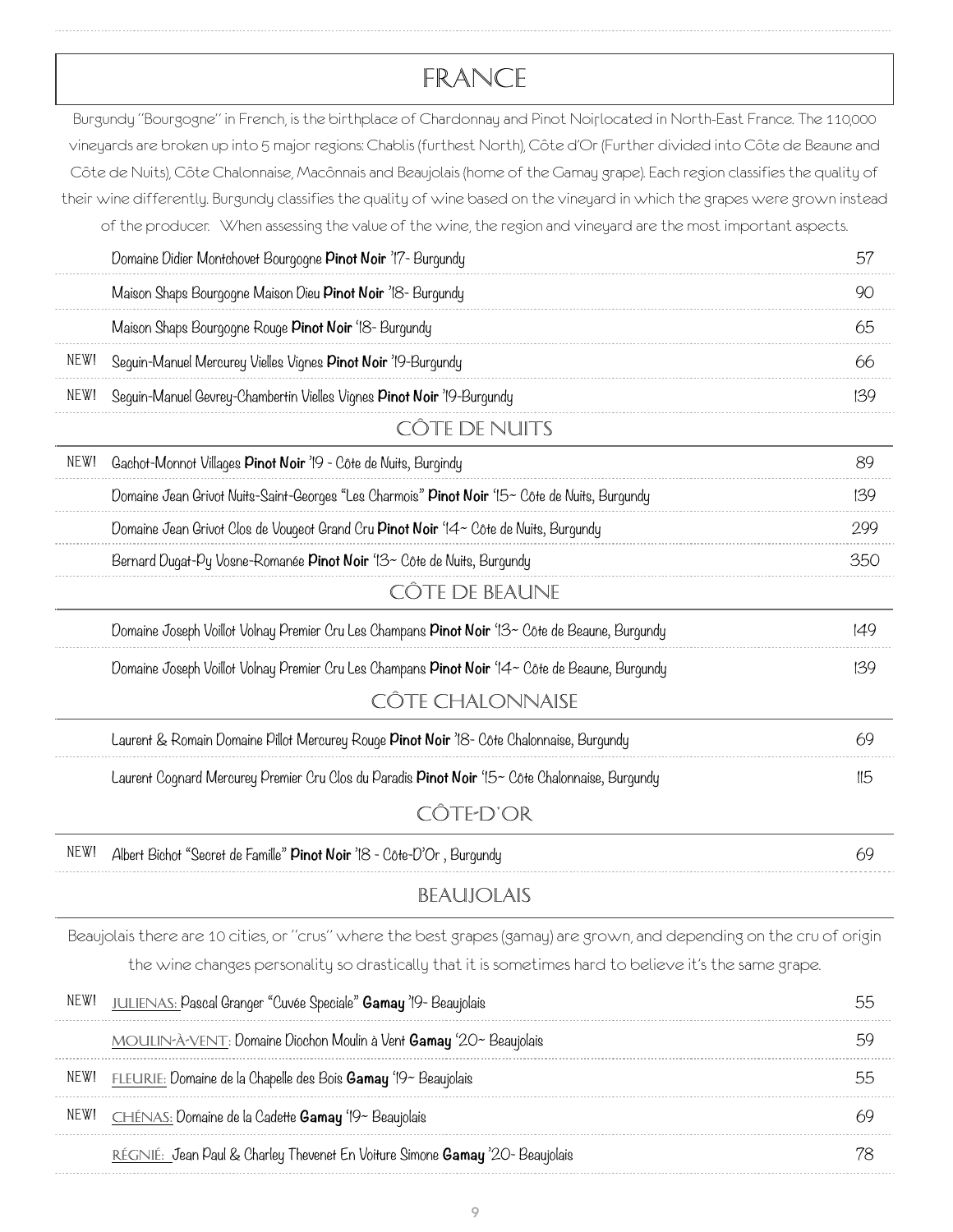# France

|      | Burgundy "Bourgogne" in French, is the birthplace of Chardonnay and Pinot Noirlocated in North-East France. The 110,000                                                                                                                                   |     |
|------|-----------------------------------------------------------------------------------------------------------------------------------------------------------------------------------------------------------------------------------------------------------|-----|
|      | vineyards are broken up into 5 major regions: Chablis (furthest North), Côte d'Or (Further divided into Côte de Beaune and<br>Côte de Nuits), Côte Chalonnaise, Macônnais and Beaujolais (home of the Gamay grape). Each region classifies the quality of |     |
|      | their wine differently. Burgundy classifies the quality of wine based on the vineyard in which the grapes were grown instead                                                                                                                              |     |
|      | of the producer. When assessing the value of the wine, the region and vineyard are the most important aspects.                                                                                                                                            |     |
|      | Domaine Didier Montchovet Bourgogne Pinot Noir '17- Burgundy                                                                                                                                                                                              | 57  |
|      | Maison Shaps Bourgogne Maison Dieu Pinot Noir '18- Burgundy                                                                                                                                                                                               | 90  |
|      | Maison Shaps Bourgogne Rouge Pinot Noir '18- Burgundy                                                                                                                                                                                                     | 65  |
| NEW! | Seguin-Manuel Mercurey Vielles Vignes Pinot Noir '19-Burgundy                                                                                                                                                                                             | 66  |
| NEW! | Sequin-Manuel Gevrey-Chambertin Vielles Vignes Pinot Noir '19-Burgundy                                                                                                                                                                                    | 139 |
|      | CÔTE DE NUITS                                                                                                                                                                                                                                             |     |
| NEW! | Gachot-Monnot Villages Pinot Noir '19 - Côte de Nuits, Burgindy                                                                                                                                                                                           | 89  |
|      | Domaine Jean Grivot Nuits-Saint-Georges "Les Charmois" Pinot Noir '15~ Côte de Nuits, Burgundy                                                                                                                                                            | 139 |
|      | Domaine Jean Grivot Clos de Vougeot Grand Cru Pinot Noir '14~ Côte de Nuits, Burgundy                                                                                                                                                                     | 299 |
|      | Bernard Dugat-Py Vosne-Romanée Pinot Noir '13~ Côte de Nuits, Burgundy                                                                                                                                                                                    | 350 |
|      | CÔTE DE BEAUNE                                                                                                                                                                                                                                            |     |
|      | Domaine Joseph Voillot Volnay Premier Cru Les Champans <b>Pinot Noir</b> '13~ Côte de Beaune, Burgundy                                                                                                                                                    | 149 |
|      | Domaine Joseph Voillot Volnay Premier Cru Les Champans Pinot Noir '14~ Côte de Beaune, Burqundy                                                                                                                                                           | 139 |
|      | CÔTE CHALONNAISE                                                                                                                                                                                                                                          |     |
|      | Laurent & Romain Domaine Pillot Mercurey Rouge Pinot Noir '18- Côte Chalonnaise, Burgundy                                                                                                                                                                 | 69  |
|      | Laurent Cognard Mercurey Premier Cru Clos du Paradis Pinot Noir '15~ Côte Chalonnaise, Burgundy                                                                                                                                                           | II5 |
|      | CÔTE-D'OR                                                                                                                                                                                                                                                 |     |
| NEW! | Albert Bichot "Secret de Famille" Pinot Noir '18 - Côte-D'Or, Burgundy                                                                                                                                                                                    | 69  |
|      | <b>BEAUJOLAIS</b>                                                                                                                                                                                                                                         |     |
|      | Beaujolais there are 10 cities, or "crus" where the best grapes (gamay) are grown, and depending on the cru of origin                                                                                                                                     |     |
|      | the wine changes personality so drastically that it is sometimes hard to believe it's the same grape.                                                                                                                                                     |     |
| NEW! | JULIENAS: Pascal Granger "Cuvée Speciale" Gamay '19- Beaujolais                                                                                                                                                                                           | 55  |
|      | MOULIN-À-VENT: Domaine Diochon Moulin à Vent Gamay '20~ Beaujolais                                                                                                                                                                                        | 59  |
| NEW! | FLEURIE: Domaine de la Chapelle des Bois Gamay '19~ Beaujolais                                                                                                                                                                                            | 55  |
| NEW! | CHÉNAS: Domaine de la Cadette Gamay '19~ Beaujolais                                                                                                                                                                                                       | 69  |

Régnié: Jean Paul & Charley Thevenet En Voiture Simone **Gamay** '20- Beaujolais 78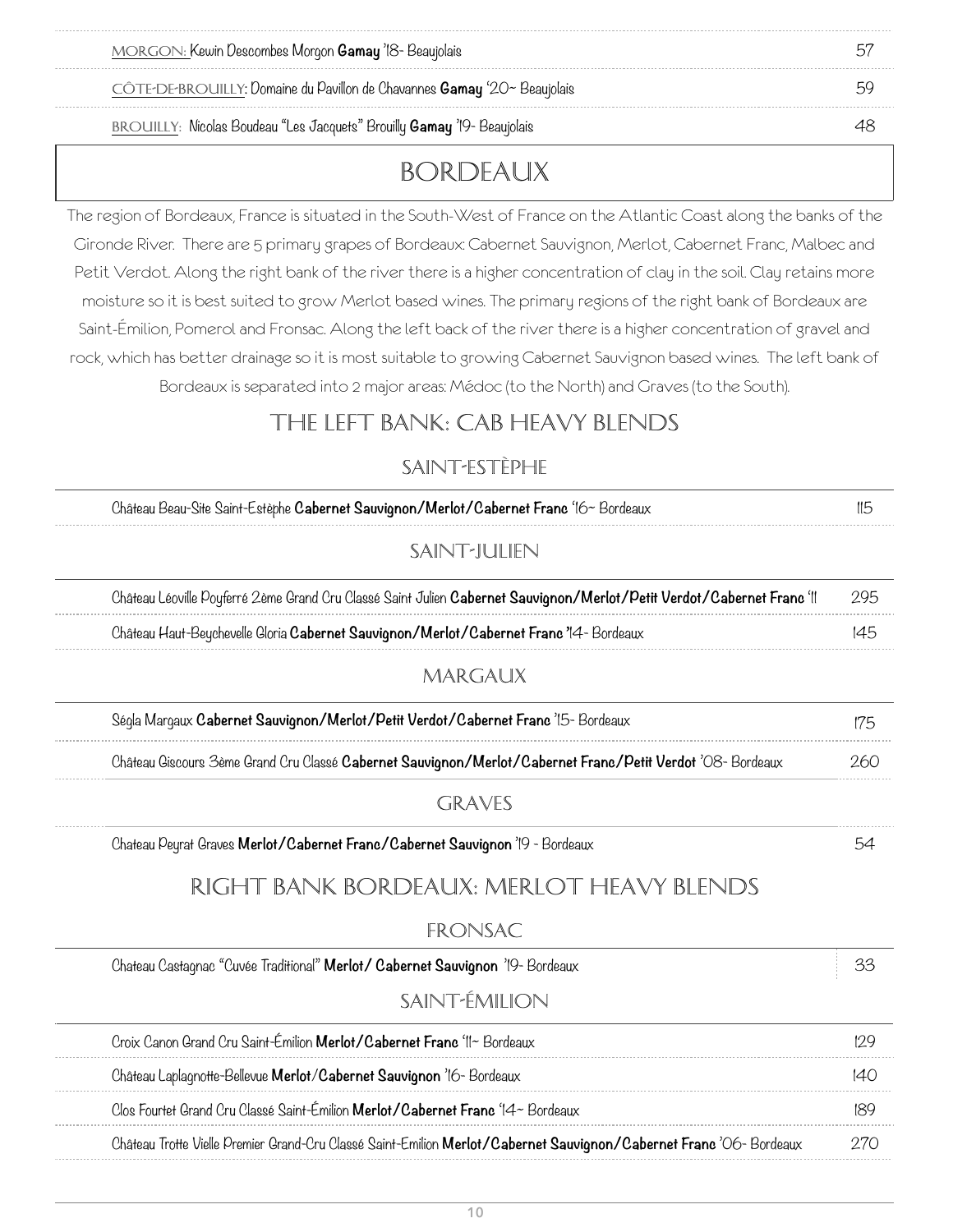| MORGON: Kewin Descombes Morgon Gamay '18 - Beaujolais |  |
|-------------------------------------------------------|--|
|                                                       |  |

Côte-de-Brouilly: Domaine du Pavillon de Chavannes **Gamay** '20~ Beaujolais 59

BROUILLY: Nicolas Boudeau "Les Jacquets" Brouilly **Gamay** '19- Beaujolais 48

## Bordeaux

The region of Bordeaux, France is situated in the South-West of France on the Atlantic Coast along the banks of the Gironde River. There are 5 primary grapes of Bordeaux: Cabernet Sauvignon, Merlot, Cabernet Franc, Malbec and Petit Verdot. Along the right bank of the river there is a higher concentration of clay in the soil. Clay retains more moisture so it is best suited to grow Merlot based wines. The primary regions of the right bank of Bordeaux are Saint-Émilion, Pomerol and Fronsac. Along the left back of the river there is a higher concentration of gravel and rock, which has better drainage so it is most suitable to growing Cabernet Sauvignon based wines. The left bank of Bordeaux is separated into 2 major areas: Médoc (to the North) and Graves (to the South).

### THE LEFT BANK: CAB HEAVY BLENDS

#### Saint-Estèphe

| Château Beau-Site Saint-Estèphe Cabernet Sauvignon/Merlot/Cabernet Franc '16~ Bordeaux                                 | 115 |
|------------------------------------------------------------------------------------------------------------------------|-----|
| SAINT-JULIEN                                                                                                           |     |
| Château Léoville Poyferré 2ème Grand Cru Classé Saint Julien Cabernet Sauvignon/Merlot/Petit Verdot/Cabernet Franc 'II | 295 |
| Château Haut-Beychevelle Gloria Cabernet Sauvignon/Merlot/Cabernet Franc 74- Bordeaux                                  | 145 |
| MARGAUX                                                                                                                |     |
| Ségla Margaux Cabernet Sauvignon/Merlot/Petit Verdot/Cabernet Franc '15- Bordeaux                                      | 175 |
| Château Giscours 3ème Grand Cru Classé Cabernet Sauvignon/Merlot/Cabernet Franc/Petit Verdot 'O8- Bordeaux             | 260 |
| <b>GRAVES</b>                                                                                                          |     |
| Chateau Peyrat Graves Merlot/Cabernet Franc/Cabernet Sauvignon '19 - Bordeaux                                          | 54  |
| RIGHT BANK BORDEAUX: MERLOT HEAVY BLENDS                                                                               |     |
| FRONSAC                                                                                                                |     |
| Chateau Castagnac "Cuvée Traditional" Merlot/ Cabernet Sauvignon '19- Bordeaux                                         | 33  |
| SAINT-ÉMILION                                                                                                          |     |
| Croix Canon Grand Cru Saint-Émilion Merlot/Cabernet Franc 'II~ Bordeaux                                                | 129 |
| Château Laplagnotte-Bellevue Merlot/Cabernet Sauvignon '16- Bordeaux                                                   | 140 |
| Clos Fourtet Grand Cru Classé Saint-Émilion Merlot/Cabernet Franc '14~ Bordeaux                                        | 189 |
| Château Trotte Vielle Premier Grand-Cru Classé Saint-Emilion Merlot/Cabernet Sauvignon/Cabernet Franc 'O6-Bordeaux     | 270 |
|                                                                                                                        |     |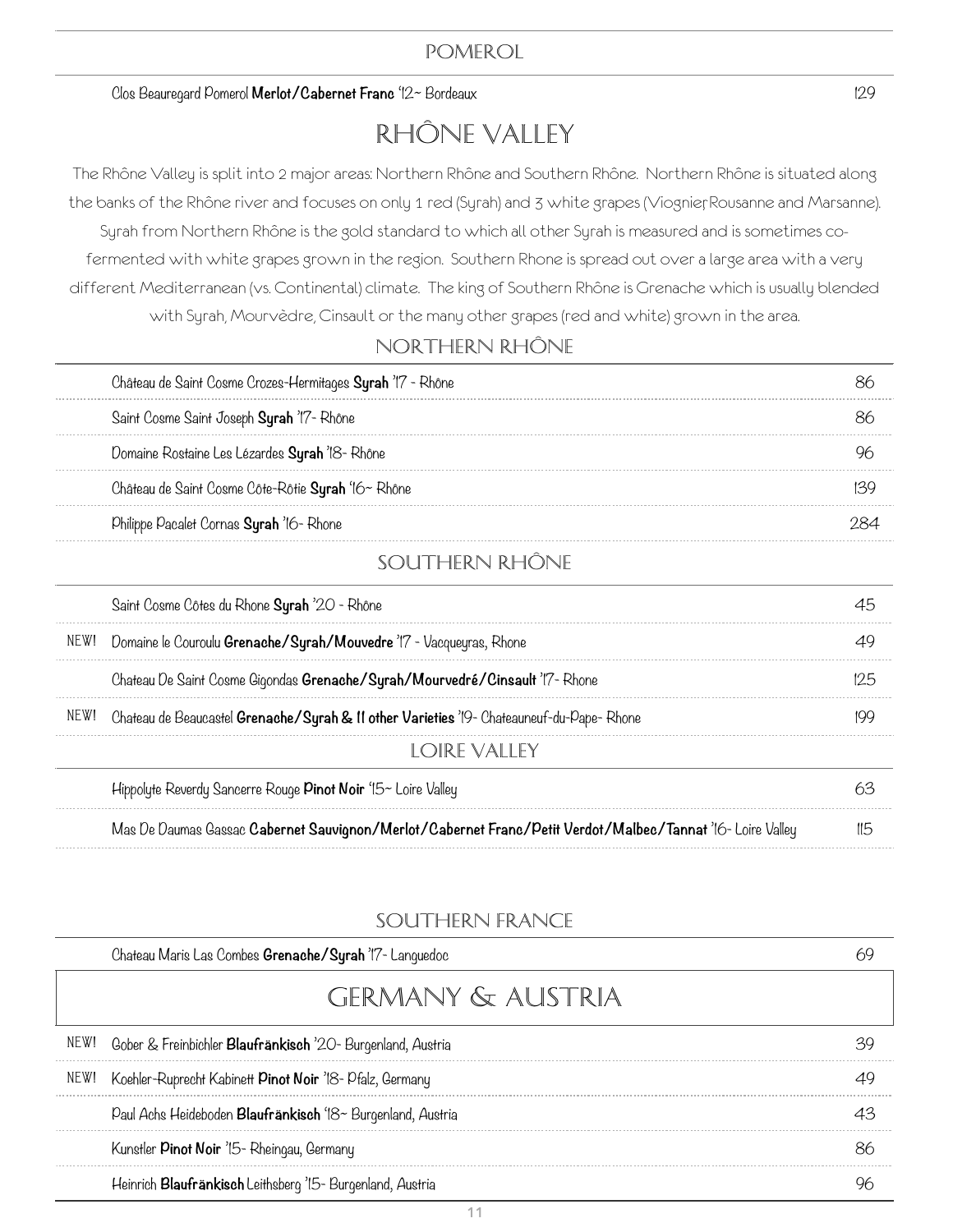#### Clos Beauregard Pomerol **Merlot/Cabernet Franc** '12~ Bordeaux 129

# Rhône Valley

The Rhône Valley is split into 2 major areas: Northern Rhône and Southern Rhône. Northern Rhône is situated along the banks of the Rhône river and focuses on only 1 red (Syrah) and 3 white grapes (Viognier, Rousanne and Marsanne). Syrah from Northern Rhône is the gold standard to which all other Syrah is measured and is sometimes cofermented with white grapes grown in the region. Southern Rhone is spread out over a large area with a very different Mediterranean (vs. Continental) climate. The king of Southern Rhône is Grenache which is usually blended with Syrah, Mourvèdre, Cinsault or the many other grapes (red and white) grown in the area.

#### Northern Rhône

| Château de Saint Cosme Crozes-Hermitages Syrah '17 - Rhône |  |
|------------------------------------------------------------|--|
| Saint Cosme Saint Joseph Syrah '17- Rhône                  |  |
| Domaine Rostaine Les Lézardes Syrah '18- Rhône             |  |
| Château de Saint Cosme Côte-Rôtie Syrah '16~ Rhône         |  |
| Philippe Pacalet Cornas Syrah '16- Rhone                   |  |
|                                                            |  |

#### Southern Rhône

|      | Saint Cosme Côtes du Rhone Syrah '20 - Rhône                                                               |  |
|------|------------------------------------------------------------------------------------------------------------|--|
| NEW! | Domaine le Couroulu <b>Grenache/Syrah/Mouvedre</b> 'I7 - Vacqueyras, Rhone                                 |  |
|      | Chateau De Saint Cosme Gigondas Grenache/Syrah/Mourvedré/Cinsault 'I'7- Rhone                              |  |
| NEW! | Chateau de Beaucastel <b>Grenache/Syrah &amp; 11 other Varieties</b> '19- Chateauneuf-du-Pape- Rhone       |  |
|      | LOIRE VALLEY                                                                                               |  |
|      | Hippolyte Reverdy Sancerre Rouge <b>Pinot Noir</b> $15 -$ Loire Valley                                     |  |
|      | Mas De Daumas Gassac Cabernet Sauvignon/Merlot/Cabernet Franc/Petit Verdot/Malbec/Tannat '16- Loire Valley |  |

#### Southern France

| Chateau Maris Las Combes Grenache/Syrah '17- Languedoc           |  |
|------------------------------------------------------------------|--|
| GERMANY & AUSTRIA                                                |  |
| NEW! Gober & Freinbichler Blaufränkisch '20- Burgenland, Austria |  |
| NEW! Koehler-Ruprecht Kabinett Pinot Noir '18- Pfalz, Germany    |  |
| Paul Achs Heideboden Blaufränkisch '18~ Burgenland, Austria      |  |
| Kunstler Pinot Noir '15- Rheingau, Germany                       |  |
| Heinrich Blaufränkisch Leithsberg '15- Burgenland, Austria       |  |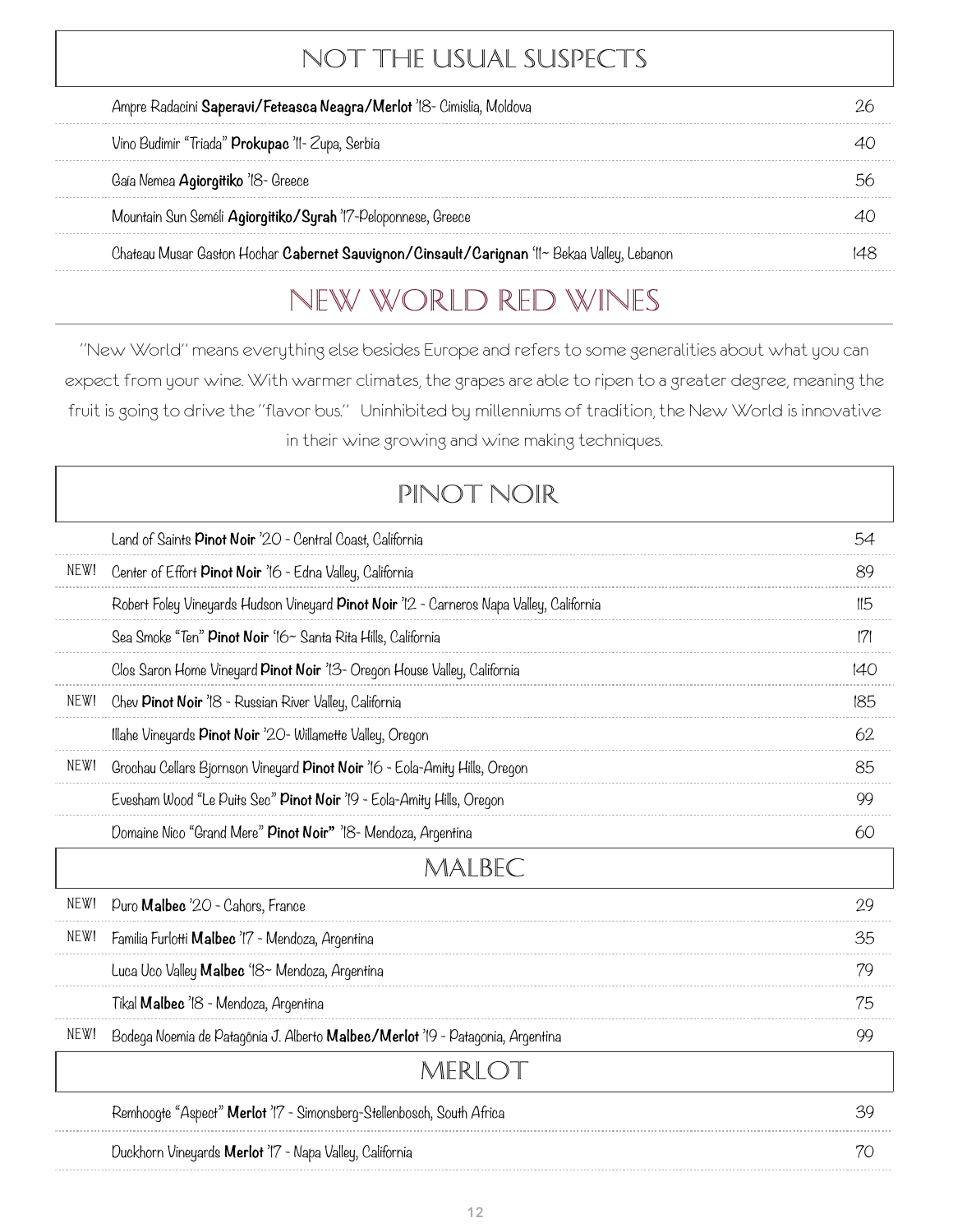# NOT THE USUAL SUSPECTS

| Ampre Radacini Saperavi/Feteasca Neagra/Merlot 'IS- Cimislia, Moldova                       |  |
|---------------------------------------------------------------------------------------------|--|
| Vino Budimir "Triada" Prokupac 'II- Zupa, Serbia                                            |  |
| Gaía Nemea Agiorgitiko '18- Greece                                                          |  |
| Mountain Sun Seméli Agiorgitiko/Syrah 'I'7-Peloponnese, Greece                              |  |
| Chateau Musar Gaston Hochar Cabernet Sauvignon/Cinsault/Carignan 'II~ Bekaa Valley, Lebanon |  |

# New World Red WINES

"New World" means everything else besides Europe and refers to some generalities about what you can expect from your wine. With warmer climates, the grapes are able to ripen to a greater degree, meaning the fruit is going to drive the "flavor bus." Uninhibited by millenniums of tradition, the New World is innovative in their wine growing and wine making techniques.

# Pinot Noir

|      | Land of Saints Pinot Noir '20 - Central Coast, California                                | 54  |
|------|------------------------------------------------------------------------------------------|-----|
| NEW! | Center of Effort Pinot Noir '16 - Edna Valley, California                                | 89  |
|      | Robert Foley Vineyards Hudson Vineyard Pinot Noir '12 - Carneros Napa Valley, California | II5 |
|      | Sea Smoke "Ten" <b>Pinot Noir</b> '16~ Santa Rita Hills, California                      | 7   |
|      | Clos Saron Home Vineyard Pinot Noir '13- Oregon House Valley, California                 | 140 |
| NEW! | Chev Pinot Noir '18 - Russian River Valley, California                                   | 185 |
|      | Illahe Vineyards <b>Pinot Noir</b> '20- Willamette Valley, Oregon                        | 62  |
| NEW! | Grochau Cellars Bjornson Vineyard Pinot Noir '16 - Eola-Amity Hills, Oregon              | 85  |
|      | Evesham Wood "Le Puits Sec" Pinot Noir '19 - Eola-Amity Hills, Oregon                    | 99  |
|      | Domaine Nico "Grand Mere" Pinot Noir" '18 Mendoza, Argentina                             | 60  |
|      | MALBEC                                                                                   |     |
| NEW! | Puro <b>Malbec</b> '20 - Cahors, France                                                  | 29  |
| NEW! | Familia Furlotti Malbec '17 - Mendoza, Argentina                                         | 35  |
|      | Luca Uco Valley <b>Malbec</b> '18~ Mendoza, Argentina                                    | 79  |
|      | Tikal Malbec '18 - Mendoza, Argentina                                                    | 75  |
| NEW! | Bodega Noemia de Patagônia J. Alberto <b>Malbec/Merlot</b> '19 - Patagonia, Argentina    | 99  |
|      | MERLOT                                                                                   |     |
|      | Remhoogte "Aspect" Merlot '17 - Simonsberg-Stellenbosch, South Africa                    | 39  |
|      | Duckhorn Vineyards Merlot '17 - Napa Valley, California                                  | 70  |

. . . . . . . . .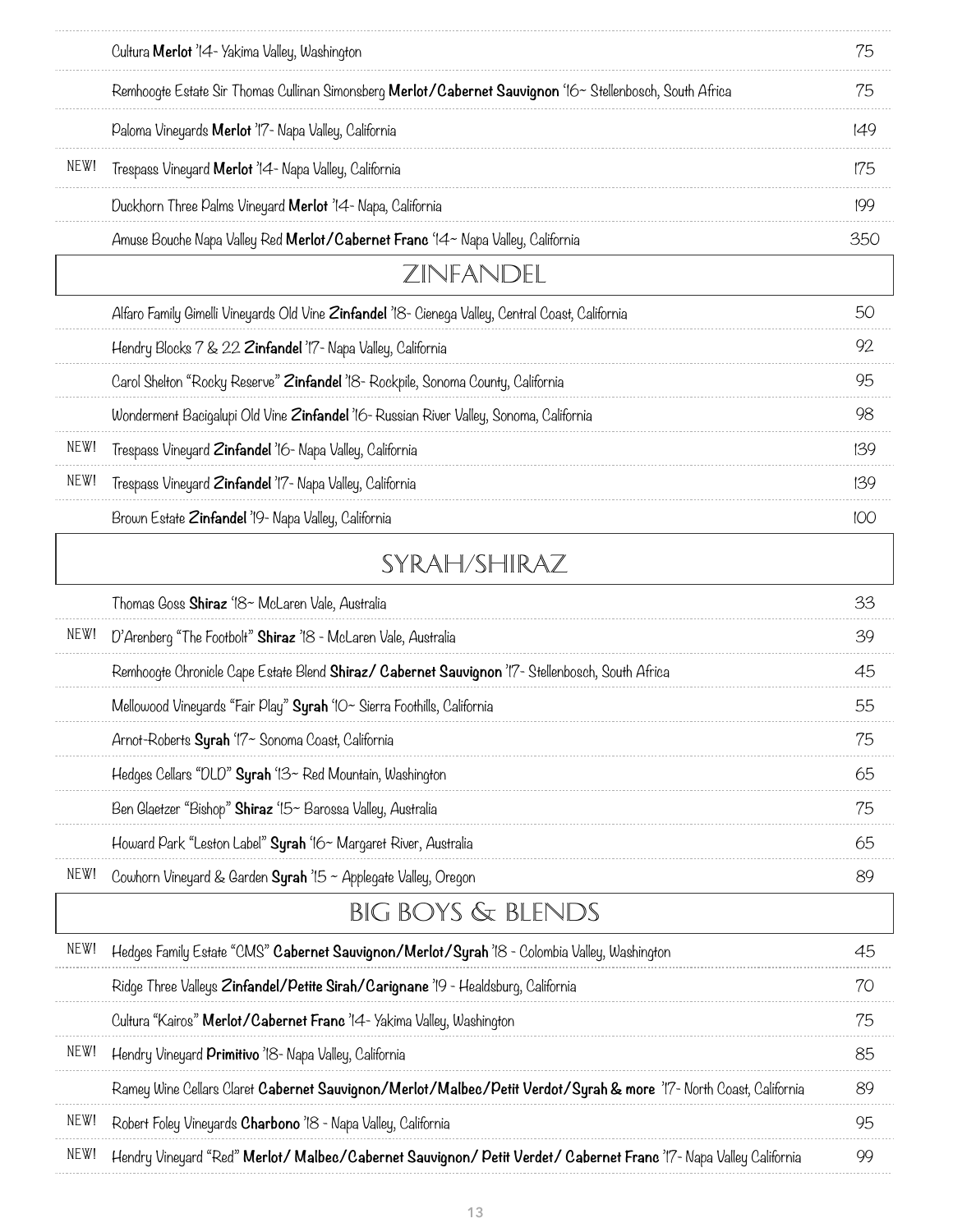|      | Cultura Merlot '14- Yakima Valley, Washington                                                                      | 75  |
|------|--------------------------------------------------------------------------------------------------------------------|-----|
|      | Remhoogte Estate Sir Thomas Cullinan Simonsberg Merlot/Cabernet Sauvignon '16~ Stellenbosch, South Africa          | 75  |
|      | Paloma Vineyards Merlot 'I'7- Napa Valley, California                                                              | 149 |
| NEW! | Trespass Vineyard <b>Merlot</b> '14- Napa Valley, California                                                       | 175 |
|      | Duckhorn Three Palms Vineyard <b>Merlot</b> '14- Napa, California                                                  | 199 |
|      | Amuse Bouche Napa Valley Red Merlot/Cabernet Franc '14~ Napa Valley, California                                    | 350 |
|      | ZINFANDEL                                                                                                          |     |
|      | Alfaro Family Gimelli Vineyards Old Vine Zinfandel '18- Cienega Valley, Central Coast, California                  | 50  |
|      | Hendry Blocks 7 & 22 Zinfandel '17- Napa Valley, California                                                        | 92  |
|      | Carol Shelton "Rocky Reserve" Zinfandel '18- Rockpile, Sonoma County, California                                   | 95  |
|      | Wonderment Bacigalupi Old Vine Zinfandel '16- Russian River Valley, Sonoma, California                             | 98  |
| NEW! | Trespass Vineyard Zinfandel '16- Napa Valley, California                                                           | 139 |
| NEW! | Trespass Vineyard Zinfandel 'I'7- Napa Valley, California                                                          | 139 |
|      | Brown Estate Zinfandel '19- Napa Valley, California                                                                | 100 |
|      | SYRAH/SHIRAZ                                                                                                       |     |
|      | Thomas Goss Shiraz '18~ McLaren Vale, Australia                                                                    | 33  |
| NEW! | D'Arenberg "The Footbolt" Shiraz '18 - McLaren Vale, Australia                                                     | 39  |
|      | Remhoogte Chronicle Cape Estate Blend Shiraz/ Cabernet Sauvignon '17- Stellenbosch, South Africa                   | 45  |
|      | Mellowood Vineyards "Fair Play" Syrah 'IO~ Sierra Foothills, California                                            | 55  |
|      | Arnot-Roberts Syrah '17~ Sonoma Coast, California                                                                  | 75  |
|      | Hedges Cellars "DLD" Syrah '13~ Red Mountain, Washington                                                           | 65  |
|      | Ben Glaetzer "Bishop" Shiraz '15~ Barossa Valley, Australia                                                        | 75  |
|      | Howard Park "Leston Label" Syrah '16~ Margaret River, Australia                                                    | 65  |
| NEW! | Cowhorn Vineyard & Garden Syrah $15 \sim$ Applegate Valley, Oregon                                                 | 89  |
|      | <b>BIG BOYS &amp; BLENDS</b>                                                                                       |     |
| NEW! | Hedges Family Estate "CMS" Cabernet Sauvignon/Merlot/Syrah '18 - Colombia Valley, Washington                       | 45  |
|      | Ridge Three Valleys Zinfandel/Petite Sirah/Carignane '19 - Healdsburg, California                                  | 70  |
|      | Cultura "Kairos" Merlot/Cabernet Franc 'I4- Yakima Valley, Washington                                              | 75  |
| NEW! | Hendry Vineyard Primitivo '18- Napa Valley, California                                                             | 85  |
|      | Ramey Wine Cellars Claret Cabernet Sauvignon/Merlot/Malbec/Petit Verdot/Syrah & more 'I7- North Coast, California  | 89  |
| NEW! | Robert Foley Vineyards Charbono '18 - Napa Valley, California                                                      | 95  |
| NEW! | Hendry Vineyard "Red" Merlot/ Malbec/Cabernet Sauvignon/ Petit Verdet/ Cabernet Franc 'I'7- Napa Valley California | 99  |